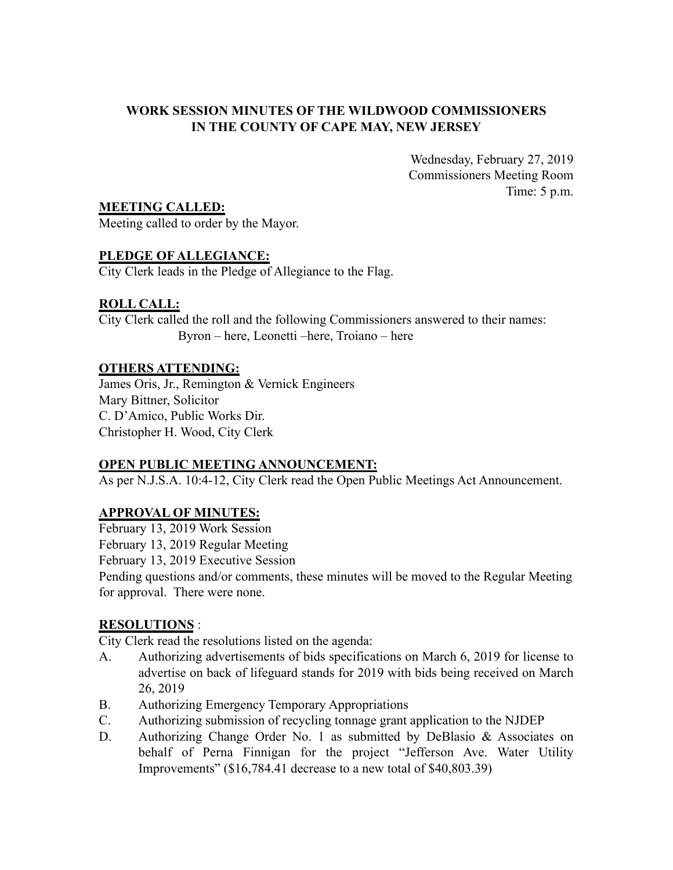## **WORK SESSION MINUTES OF THE WILDWOOD COMMISSIONERS IN THE COUNTY OF CAPE MAY, NEW JERSEY**

Wednesday, February 27, 2019 Commissioners Meeting Room Time: 5 p.m.

**MEETING CALLED:**

Meeting called to order by the Mayor.

# **PLEDGE OF ALLEGIANCE:**

City Clerk leads in the Pledge of Allegiance to the Flag.

# **ROLL CALL:**

City Clerk called the roll and the following Commissioners answered to their names: Byron – here, Leonetti –here, Troiano – here

## **OTHERS ATTENDING:**

James Oris, Jr., Remington & Vernick Engineers Mary Bittner, Solicitor C. D'Amico, Public Works Dir. Christopher H. Wood, City Clerk

## **OPEN PUBLIC MEETING ANNOUNCEMENT:**

As per N.J.S.A. 10:4-12, City Clerk read the Open Public Meetings Act Announcement.

# **APPROVAL OF MINUTES:**

February 13, 2019 Work Session

February 13, 2019 Regular Meeting

February 13, 2019 Executive Session

Pending questions and/or comments, these minutes will be moved to the Regular Meeting for approval. There were none.

# **RESOLUTIONS** :

City Clerk read the resolutions listed on the agenda:

- A. Authorizing advertisements of bids specifications on March 6, 2019 for license to advertise on back of lifeguard stands for 2019 with bids being received on March 26, 2019
- B. Authorizing Emergency Temporary Appropriations
- C. Authorizing submission of recycling tonnage grant application to the NJDEP
- D. Authorizing Change Order No. 1 as submitted by DeBlasio & Associates on behalf of Perna Finnigan for the project "Jefferson Ave. Water Utility Improvements" (\$16,784.41 decrease to a new total of \$40,803.39)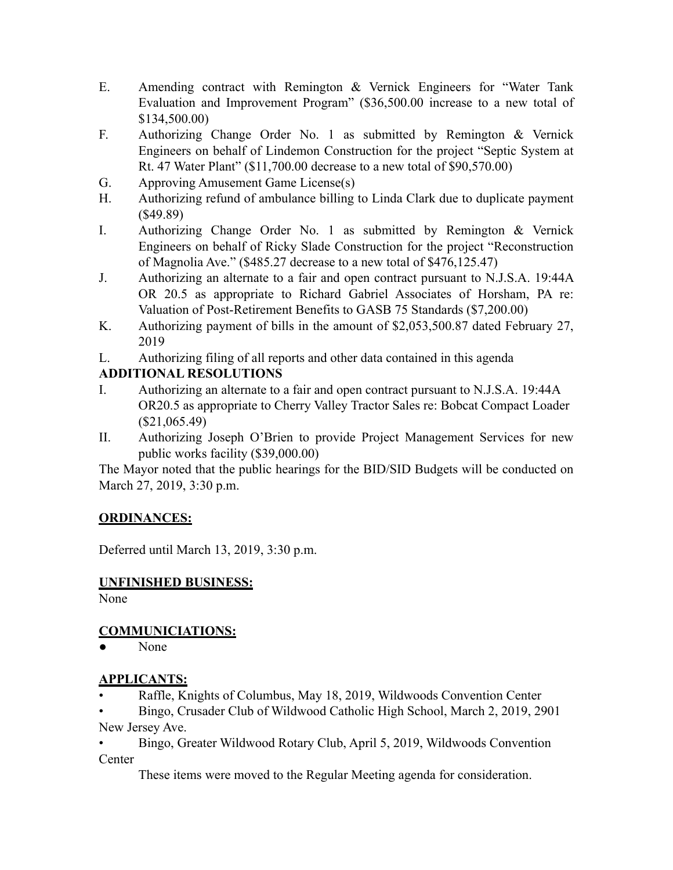- E. Amending contract with Remington & Vernick Engineers for "Water Tank Evaluation and Improvement Program" (\$36,500.00 increase to a new total of \$134,500.00)
- F. Authorizing Change Order No. 1 as submitted by Remington & Vernick Engineers on behalf of Lindemon Construction for the project "Septic System at Rt. 47 Water Plant" (\$11,700.00 decrease to a new total of \$90,570.00)
- G. Approving Amusement Game License(s)
- H. Authorizing refund of ambulance billing to Linda Clark due to duplicate payment (\$49.89)
- I. Authorizing Change Order No. 1 as submitted by Remington & Vernick Engineers on behalf of Ricky Slade Construction for the project "Reconstruction of Magnolia Ave." (\$485.27 decrease to a new total of \$476,125.47)
- J. Authorizing an alternate to a fair and open contract pursuant to N.J.S.A. 19:44A OR 20.5 as appropriate to Richard Gabriel Associates of Horsham, PA re: Valuation of Post-Retirement Benefits to GASB 75 Standards (\$7,200.00)
- K. Authorizing payment of bills in the amount of \$2,053,500.87 dated February 27, 2019
- L. Authorizing filing of all reports and other data contained in this agenda

# **ADDITIONAL RESOLUTIONS**

- I. Authorizing an alternate to a fair and open contract pursuant to N.J.S.A. 19:44A OR20.5 as appropriate to Cherry Valley Tractor Sales re: Bobcat Compact Loader (\$21,065.49)
- II. Authorizing Joseph O'Brien to provide Project Management Services for new public works facility (\$39,000.00)

The Mayor noted that the public hearings for the BID/SID Budgets will be conducted on March 27, 2019, 3:30 p.m.

# **ORDINANCES:**

Deferred until March 13, 2019, 3:30 p.m.

# **UNFINISHED BUSINESS:**

None

# **COMMUNICIATIONS:**

None

# **APPLICANTS:**

- Raffle, Knights of Columbus, May 18, 2019, Wildwoods Convention Center
- Bingo, Crusader Club of Wildwood Catholic High School, March 2, 2019, 2901 New Jersey Ave.
- Bingo, Greater Wildwood Rotary Club, April 5, 2019, Wildwoods Convention **Center**

These items were moved to the Regular Meeting agenda for consideration.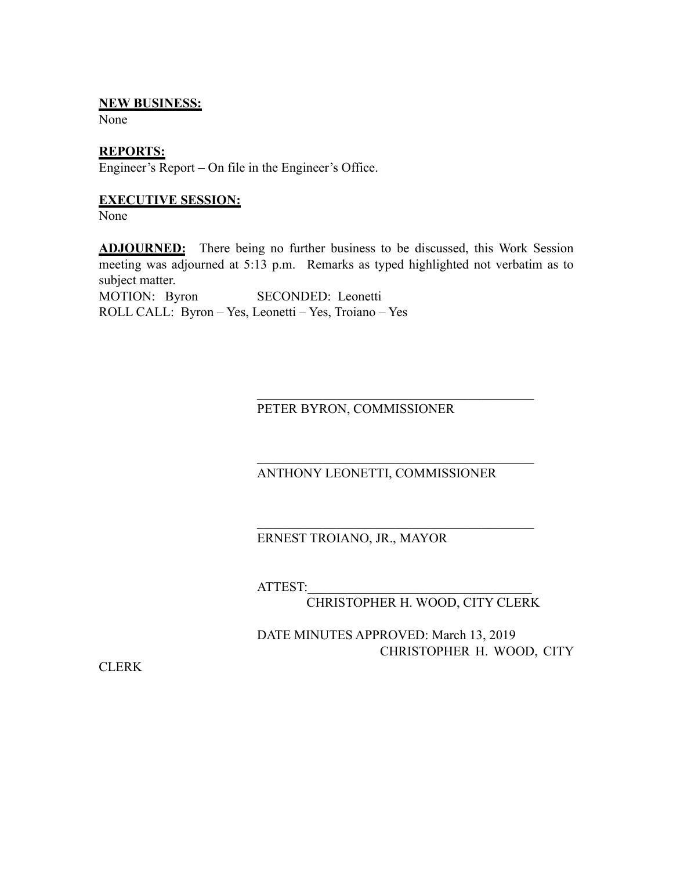## **NEW BUSINESS:**

None

### **REPORTS:**

Engineer's Report – On file in the Engineer's Office.

### **EXECUTIVE SESSION:**

None

**ADJOURNED:** There being no further business to be discussed, this Work Session meeting was adjourned at 5:13 p.m. Remarks as typed highlighted not verbatim as to subject matter.

MOTION: Byron SECONDED: Leonetti ROLL CALL: Byron – Yes, Leonetti – Yes, Troiano – Yes

PETER BYRON, COMMISSIONER

## ANTHONY LEONETTI, COMMISSIONER

 $\mathcal{L}_\text{max}$  , where  $\mathcal{L}_\text{max}$  and  $\mathcal{L}_\text{max}$  and  $\mathcal{L}_\text{max}$  and  $\mathcal{L}_\text{max}$ 

 $\mathcal{L}_\text{max}$  , where  $\mathcal{L}_\text{max}$  and  $\mathcal{L}_\text{max}$  and  $\mathcal{L}_\text{max}$  and  $\mathcal{L}_\text{max}$ 

 $\mathcal{L}_\text{max}$  , where  $\mathcal{L}_\text{max}$  and  $\mathcal{L}_\text{max}$  and  $\mathcal{L}_\text{max}$  and  $\mathcal{L}_\text{max}$ 

## ERNEST TROIANO, JR., MAYOR

ATTEST:\_\_\_\_\_\_\_\_\_\_\_\_\_\_\_\_\_\_\_\_\_\_\_\_\_\_\_\_\_\_\_\_\_\_

## CHRISTOPHER H. WOOD, CITY CLERK

DATE MINUTES APPROVED: March 13, 2019 CHRISTOPHER H. WOOD, CITY

**CLERK**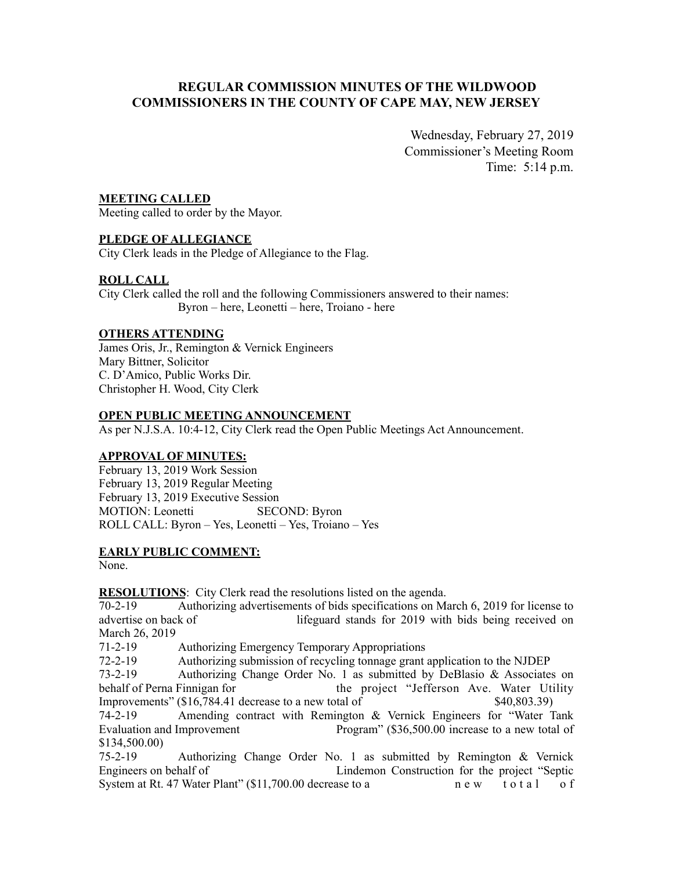## **REGULAR COMMISSION MINUTES OF THE WILDWOOD COMMISSIONERS IN THE COUNTY OF CAPE MAY, NEW JERSEY**

Wednesday, February 27, 2019 Commissioner's Meeting Room Time: 5:14 p.m.

### **MEETING CALLED**

Meeting called to order by the Mayor.

#### **PLEDGE OF ALLEGIANCE**

City Clerk leads in the Pledge of Allegiance to the Flag.

### **ROLL CALL**

City Clerk called the roll and the following Commissioners answered to their names: Byron – here, Leonetti – here, Troiano - here

#### **OTHERS ATTENDING**

James Oris, Jr., Remington & Vernick Engineers Mary Bittner, Solicitor C. D'Amico, Public Works Dir. Christopher H. Wood, City Clerk

#### **OPEN PUBLIC MEETING ANNOUNCEMENT**

As per N.J.S.A. 10:4-12, City Clerk read the Open Public Meetings Act Announcement.

#### **APPROVAL OF MINUTES:**

February 13, 2019 Work Session February 13, 2019 Regular Meeting February 13, 2019 Executive Session MOTION: Leonetti SECOND: Byron ROLL CALL: Byron – Yes, Leonetti – Yes, Troiano – Yes

#### **EARLY PUBLIC COMMENT:**

None.

#### **RESOLUTIONS:** City Clerk read the resolutions listed on the agenda.

70-2-19 Authorizing advertisements of bids specifications on March 6, 2019 for license to advertise on back of lifeguard stands for 2019 with bids being received on March 26, 2019

71-2-19 Authorizing Emergency Temporary Appropriations

72-2-19 Authorizing submission of recycling tonnage grant application to the NJDEP

73-2-19 Authorizing Change Order No. 1 as submitted by DeBlasio & Associates on behalf of Perna Finnigan for the project "Jefferson Ave. Water Utility Improvements" (\$16,784.41 decrease to a new total of \$40,803.39) 74-2-19 Amending contract with Remington & Vernick Engineers for "Water Tank Evaluation and Improvement Program" (\$36,500.00 increase to a new total of \$134,500.00)

75-2-19 Authorizing Change Order No. 1 as submitted by Remington & Vernick Engineers on behalf of Lindemon Construction for the project "Septic System at Rt. 47 Water Plant" (\$11,700.00 decrease to a n e w t o t a l o f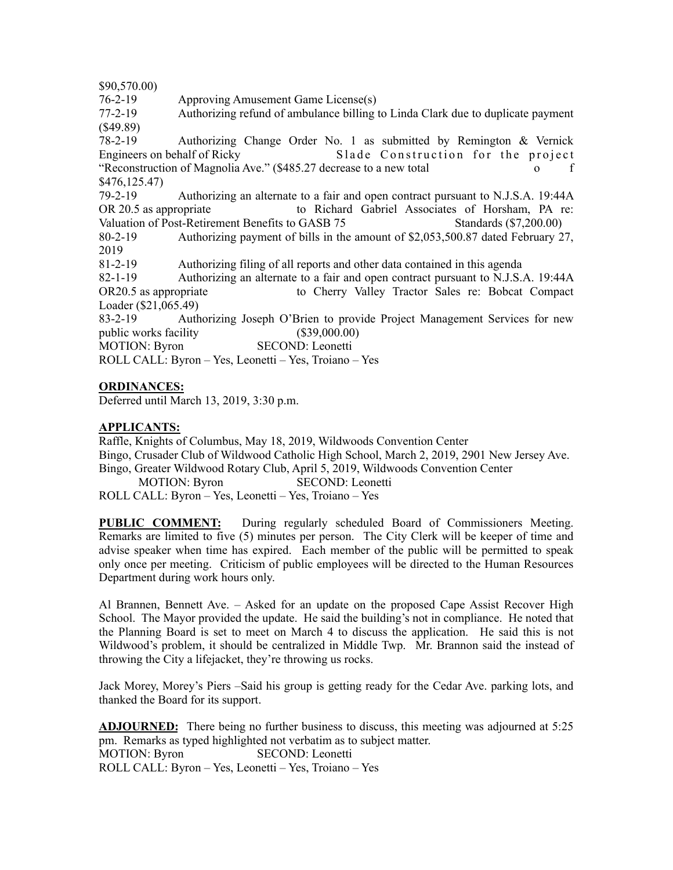\$90,570.00)

76-2-19 Approving Amusement Game License(s)

77-2-19 Authorizing refund of ambulance billing to Linda Clark due to duplicate payment (\$49.89)

78-2-19 Authorizing Change Order No. 1 as submitted by Remington & Vernick Engineers on behalf of Ricky Slade Construction for the project "Reconstruction of Magnolia Ave." (\$485.27 decrease to a new total o f \$476,125.47)

79-2-19 Authorizing an alternate to a fair and open contract pursuant to N.J.S.A. 19:44A OR 20.5 as appropriate to Richard Gabriel Associates of Horsham, PA re: Valuation of Post-Retirement Benefits to GASB 75 Standards (\$7,200.00) 80-2-19 Authorizing payment of bills in the amount of \$2,053,500.87 dated February 27,

2019

81-2-19 Authorizing filing of all reports and other data contained in this agenda

82-1-19 Authorizing an alternate to a fair and open contract pursuant to N.J.S.A. 19:44A OR20.5 as appropriate to Cherry Valley Tractor Sales re: Bobcat Compact Loader (\$21,065.49)

83-2-19 Authorizing Joseph O'Brien to provide Project Management Services for new public works facility (\$39,000.00)

MOTION: Byron SECOND: Leonetti

ROLL CALL: Byron – Yes, Leonetti – Yes, Troiano – Yes

#### **ORDINANCES:**

Deferred until March 13, 2019, 3:30 p.m.

#### **APPLICANTS:**

Raffle, Knights of Columbus, May 18, 2019, Wildwoods Convention Center Bingo, Crusader Club of Wildwood Catholic High School, March 2, 2019, 2901 New Jersey Ave. Bingo, Greater Wildwood Rotary Club, April 5, 2019, Wildwoods Convention Center MOTION: Byron SECOND: Leonetti

ROLL CALL: Byron – Yes, Leonetti – Yes, Troiano – Yes

**PUBLIC COMMENT:** During regularly scheduled Board of Commissioners Meeting. Remarks are limited to five (5) minutes per person. The City Clerk will be keeper of time and advise speaker when time has expired. Each member of the public will be permitted to speak only once per meeting. Criticism of public employees will be directed to the Human Resources Department during work hours only.

Al Brannen, Bennett Ave. – Asked for an update on the proposed Cape Assist Recover High School. The Mayor provided the update. He said the building's not in compliance. He noted that the Planning Board is set to meet on March 4 to discuss the application. He said this is not Wildwood's problem, it should be centralized in Middle Twp. Mr. Brannon said the instead of throwing the City a lifejacket, they're throwing us rocks.

Jack Morey, Morey's Piers –Said his group is getting ready for the Cedar Ave. parking lots, and thanked the Board for its support.

**ADJOURNED:** There being no further business to discuss, this meeting was adjourned at 5:25 pm. Remarks as typed highlighted not verbatim as to subject matter. MOTION: Byron SECOND: Leonetti ROLL CALL: Byron – Yes, Leonetti – Yes, Troiano – Yes